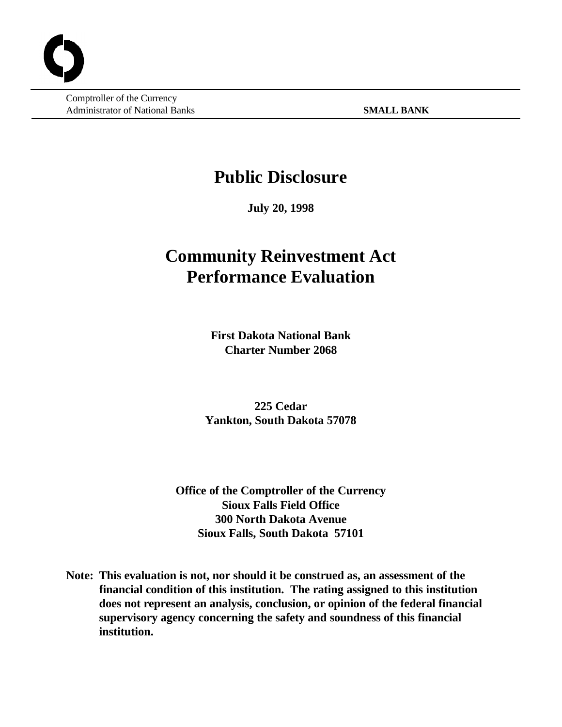Comptroller of the Currency Administrator of National Banks **SMALL BANK**

# **Public Disclosure**

**July 20, 1998**

# **Community Reinvestment Act Performance Evaluation**

**First Dakota National Bank Charter Number 2068**

**225 Cedar Yankton, South Dakota 57078**

**Office of the Comptroller of the Currency Sioux Falls Field Office 300 North Dakota Avenue Sioux Falls, South Dakota 57101**

**Note: This evaluation is not, nor should it be construed as, an assessment of the financial condition of this institution. The rating assigned to this institution does not represent an analysis, conclusion, or opinion of the federal financial supervisory agency concerning the safety and soundness of this financial institution.**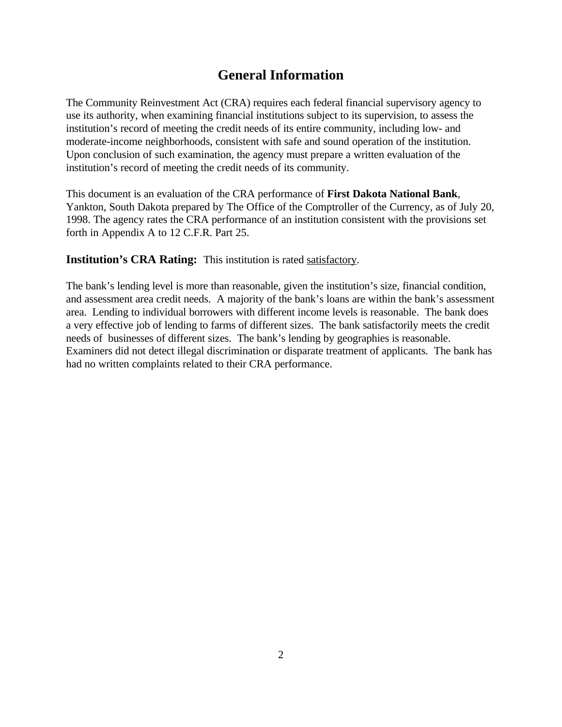# **General Information**

The Community Reinvestment Act (CRA) requires each federal financial supervisory agency to use its authority, when examining financial institutions subject to its supervision, to assess the institution's record of meeting the credit needs of its entire community, including low- and moderate-income neighborhoods, consistent with safe and sound operation of the institution. Upon conclusion of such examination, the agency must prepare a written evaluation of the institution's record of meeting the credit needs of its community.

This document is an evaluation of the CRA performance of **First Dakota National Bank**, Yankton, South Dakota prepared by The Office of the Comptroller of the Currency, as of July 20, 1998. The agency rates the CRA performance of an institution consistent with the provisions set forth in Appendix A to 12 C.F.R. Part 25.

**Institution's CRA Rating:** This institution is rated satisfactory.

The bank's lending level is more than reasonable, given the institution's size, financial condition, and assessment area credit needs. A majority of the bank's loans are within the bank's assessment area. Lending to individual borrowers with different income levels is reasonable. The bank does a very effective job of lending to farms of different sizes. The bank satisfactorily meets the credit needs of businesses of different sizes. The bank's lending by geographies is reasonable. Examiners did not detect illegal discrimination or disparate treatment of applicants. The bank has had no written complaints related to their CRA performance.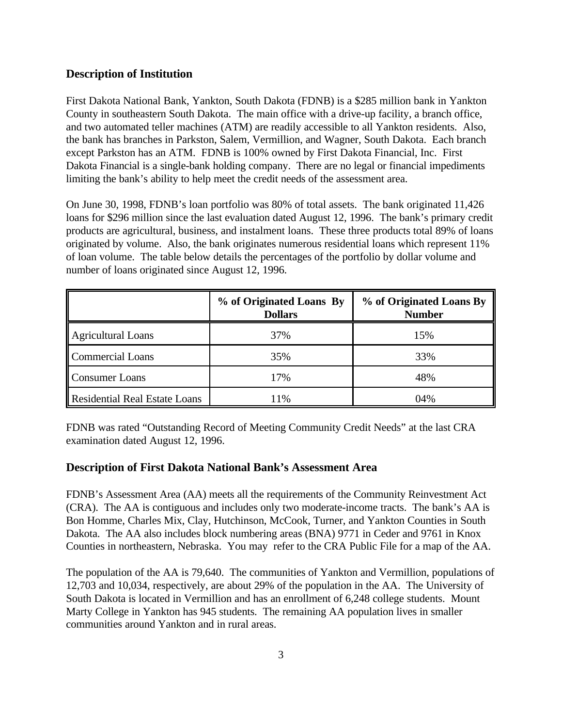# **Description of Institution**

First Dakota National Bank, Yankton, South Dakota (FDNB) is a \$285 million bank in Yankton County in southeastern South Dakota. The main office with a drive-up facility, a branch office, and two automated teller machines (ATM) are readily accessible to all Yankton residents. Also, the bank has branches in Parkston, Salem, Vermillion, and Wagner, South Dakota. Each branch except Parkston has an ATM. FDNB is 100% owned by First Dakota Financial, Inc. First Dakota Financial is a single-bank holding company. There are no legal or financial impediments limiting the bank's ability to help meet the credit needs of the assessment area.

On June 30, 1998, FDNB's loan portfolio was 80% of total assets. The bank originated 11,426 loans for \$296 million since the last evaluation dated August 12, 1996. The bank's primary credit products are agricultural, business, and instalment loans. These three products total 89% of loans originated by volume. Also, the bank originates numerous residential loans which represent 11% of loan volume. The table below details the percentages of the portfolio by dollar volume and number of loans originated since August 12, 1996.

|                                      | % of Originated Loans By<br><b>Dollars</b> | % of Originated Loans By<br><b>Number</b> |
|--------------------------------------|--------------------------------------------|-------------------------------------------|
| <b>Agricultural Loans</b>            | 37%                                        | 15%                                       |
| Commercial Loans                     | 35%                                        | 33%                                       |
| <b>Consumer Loans</b>                | 17%                                        | 48%                                       |
| <b>Residential Real Estate Loans</b> | 11%                                        | 04%                                       |

FDNB was rated "Outstanding Record of Meeting Community Credit Needs" at the last CRA examination dated August 12, 1996.

# **Description of First Dakota National Bank's Assessment Area**

FDNB's Assessment Area (AA) meets all the requirements of the Community Reinvestment Act (CRA). The AA is contiguous and includes only two moderate-income tracts. The bank's AA is Bon Homme, Charles Mix, Clay, Hutchinson, McCook, Turner, and Yankton Counties in South Dakota. The AA also includes block numbering areas (BNA) 9771 in Ceder and 9761 in Knox Counties in northeastern, Nebraska. You may refer to the CRA Public File for a map of the AA.

The population of the AA is 79,640. The communities of Yankton and Vermillion, populations of 12,703 and 10,034, respectively, are about 29% of the population in the AA. The University of South Dakota is located in Vermillion and has an enrollment of 6,248 college students. Mount Marty College in Yankton has 945 students. The remaining AA population lives in smaller communities around Yankton and in rural areas.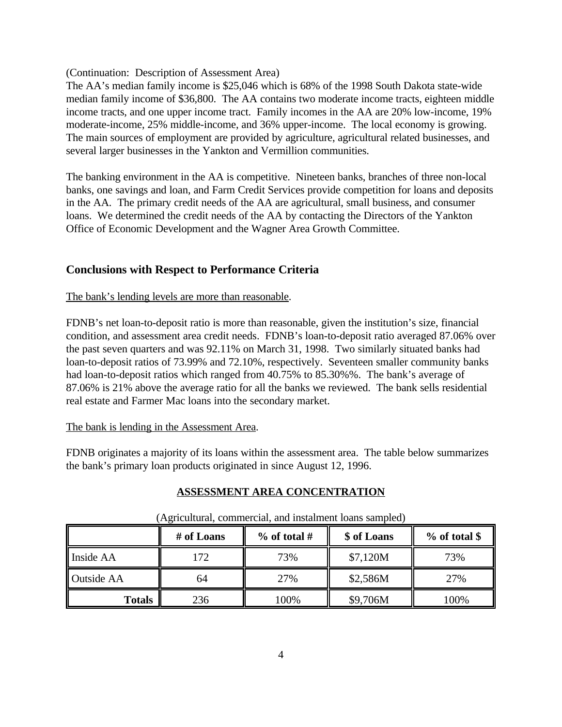(Continuation: Description of Assessment Area)

The AA's median family income is \$25,046 which is 68% of the 1998 South Dakota state-wide median family income of \$36,800. The AA contains two moderate income tracts, eighteen middle income tracts, and one upper income tract. Family incomes in the AA are 20% low-income, 19% moderate-income, 25% middle-income, and 36% upper-income. The local economy is growing. The main sources of employment are provided by agriculture, agricultural related businesses, and several larger businesses in the Yankton and Vermillion communities.

The banking environment in the AA is competitive. Nineteen banks, branches of three non-local banks, one savings and loan, and Farm Credit Services provide competition for loans and deposits in the AA. The primary credit needs of the AA are agricultural, small business, and consumer loans. We determined the credit needs of the AA by contacting the Directors of the Yankton Office of Economic Development and the Wagner Area Growth Committee.

# **Conclusions with Respect to Performance Criteria**

# The bank's lending levels are more than reasonable.

FDNB's net loan-to-deposit ratio is more than reasonable, given the institution's size, financial condition, and assessment area credit needs. FDNB's loan-to-deposit ratio averaged 87.06% over the past seven quarters and was 92.11% on March 31, 1998. Two similarly situated banks had loan-to-deposit ratios of 73.99% and 72.10%, respectively. Seventeen smaller community banks had loan-to-deposit ratios which ranged from 40.75% to 85.30%%. The bank's average of 87.06% is 21% above the average ratio for all the banks we reviewed. The bank sells residential real estate and Farmer Mac loans into the secondary market.

#### The bank is lending in the Assessment Area.

FDNB originates a majority of its loans within the assessment area. The table below summarizes the bank's primary loan products originated in since August 12, 1996.

# **ASSESSMENT AREA CONCENTRATION**

|                   | # of Loans | $%$ of total # | \$ of Loans | $%$ of total \$ |
|-------------------|------------|----------------|-------------|-----------------|
| Inside AA         | 172        | 73%            | \$7,120M    | 73%             |
| <b>Outside AA</b> | 64         | 27%            | \$2,586M    | 27%             |
| <b>Totals</b>     | 236        | 100%           | \$9,706M    | 100%            |

(Agricultural, commercial, and instalment loans sampled)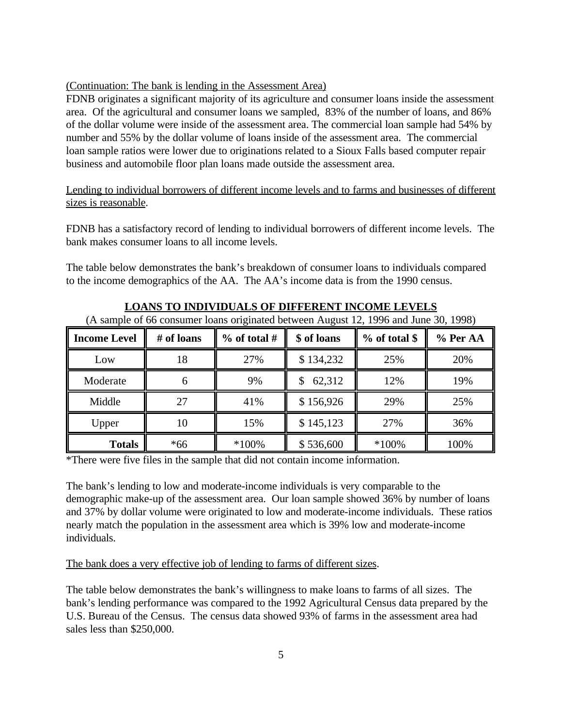#### (Continuation: The bank is lending in the Assessment Area)

FDNB originates a significant majority of its agriculture and consumer loans inside the assessment area. Of the agricultural and consumer loans we sampled, 83% of the number of loans, and 86% of the dollar volume were inside of the assessment area. The commercial loan sample had 54% by number and 55% by the dollar volume of loans inside of the assessment area. The commercial loan sample ratios were lower due to originations related to a Sioux Falls based computer repair business and automobile floor plan loans made outside the assessment area.

Lending to individual borrowers of different income levels and to farms and businesses of different sizes is reasonable.

FDNB has a satisfactory record of lending to individual borrowers of different income levels. The bank makes consumer loans to all income levels.

The table below demonstrates the bank's breakdown of consumer loans to individuals compared to the income demographics of the AA. The AA's income data is from the 1990 census.

| (A sample of 66 consumer loans originated between August 12, 1996 and June 30, 1998) |            |              |             |               |          |
|--------------------------------------------------------------------------------------|------------|--------------|-------------|---------------|----------|
| <b>Income Level</b>                                                                  | # of loans | % of total # | \$ of loans | % of total \$ | % Per AA |
| Low                                                                                  | 18         | 27%          | \$134,232   | 25%           | 20%      |
| Moderate                                                                             |            | 9%           | 62,312      | 12%           | 19%      |
| Middle                                                                               | 27         | 41%          | \$156,926   | 29%           | 25%      |
| Upper                                                                                | 10         | 15%          | \$145,123   | 27%           | 36%      |
| <b>Totals</b>                                                                        | $*66$      | $*100\%$     | \$536,600   | $*100%$       | 100%     |

**LOANS TO INDIVIDUALS OF DIFFERENT INCOME LEVELS**

\*There were five files in the sample that did not contain income information.

The bank's lending to low and moderate-income individuals is very comparable to the demographic make-up of the assessment area. Our loan sample showed 36% by number of loans and 37% by dollar volume were originated to low and moderate-income individuals. These ratios nearly match the population in the assessment area which is 39% low and moderate-income individuals.

#### The bank does a very effective job of lending to farms of different sizes.

The table below demonstrates the bank's willingness to make loans to farms of all sizes. The bank's lending performance was compared to the 1992 Agricultural Census data prepared by the U.S. Bureau of the Census. The census data showed 93% of farms in the assessment area had sales less than \$250,000.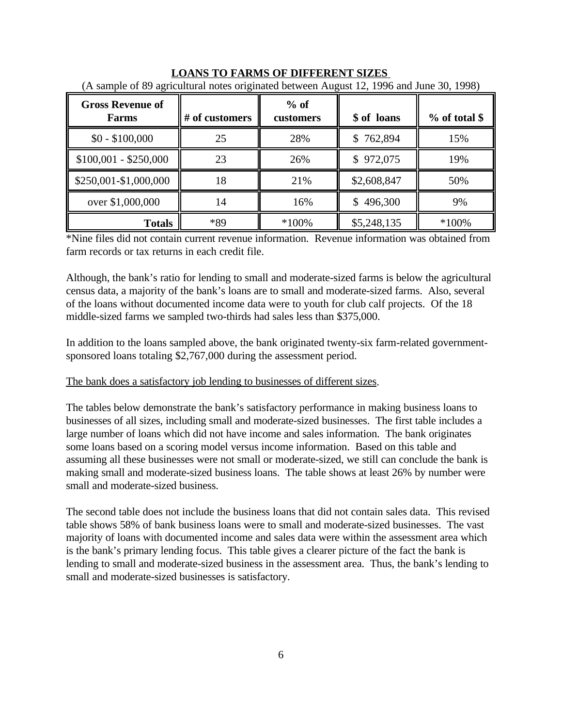| <b>Gross Revenue of</b><br>Farms | # of customers | $%$ of<br>customers | \$ of loans   | $%$ of total \$ |
|----------------------------------|----------------|---------------------|---------------|-----------------|
| $$0 - $100,000$                  | 25             | 28%                 | \$762,894     | 15%             |
| $$100,001 - $250,000$            | 23             | 26%                 | 972,075<br>S. | 19%             |
| \$250,001-\$1,000,000            | 18             | 21%                 | \$2,608,847   | 50%             |
| over \$1,000,000                 | 14             | 16%                 | 496,300<br>\$ | 9%              |
| <b>Totals</b>                    | *89            | $*100\%$            | \$5,248,135   | $*100\%$        |

**LOANS TO FARMS OF DIFFERENT SIZES**  (A sample of 89 agricultural notes originated between August 12, 1996 and June 30, 1998)

\*Nine files did not contain current revenue information. Revenue information was obtained from farm records or tax returns in each credit file.

Although, the bank's ratio for lending to small and moderate-sized farms is below the agricultural census data, a majority of the bank's loans are to small and moderate-sized farms. Also, several of the loans without documented income data were to youth for club calf projects. Of the 18 middle-sized farms we sampled two-thirds had sales less than \$375,000.

In addition to the loans sampled above, the bank originated twenty-six farm-related governmentsponsored loans totaling \$2,767,000 during the assessment period.

# The bank does a satisfactory job lending to businesses of different sizes.

The tables below demonstrate the bank's satisfactory performance in making business loans to businesses of all sizes, including small and moderate-sized businesses. The first table includes a large number of loans which did not have income and sales information. The bank originates some loans based on a scoring model versus income information. Based on this table and assuming all these businesses were not small or moderate-sized, we still can conclude the bank is making small and moderate-sized business loans. The table shows at least 26% by number were small and moderate-sized business.

The second table does not include the business loans that did not contain sales data. This revised table shows 58% of bank business loans were to small and moderate-sized businesses. The vast majority of loans with documented income and sales data were within the assessment area which is the bank's primary lending focus. This table gives a clearer picture of the fact the bank is lending to small and moderate-sized business in the assessment area. Thus, the bank's lending to small and moderate-sized businesses is satisfactory.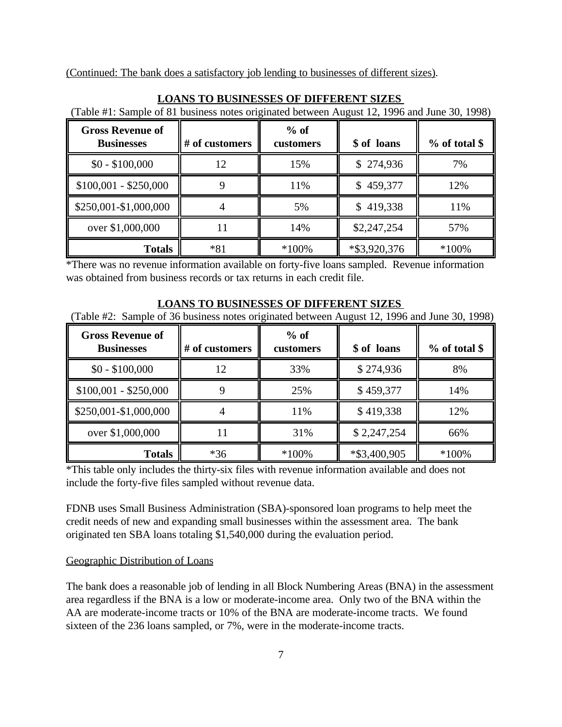(Continued: The bank does a satisfactory job lending to businesses of different sizes).

| <b>Gross Revenue of</b><br><b>Businesses</b> | # of customers | $%$ of<br>customers | \$ of loans     | $%$ of total \$ |
|----------------------------------------------|----------------|---------------------|-----------------|-----------------|
| $$0 - $100,000$                              |                | 15%                 | \$274,936       | 7%              |
| $$100,001 - $250,000$                        |                | 11%                 | \$459,377       | 12%             |
| \$250,001-\$1,000,000                        |                | 5%                  | \$419,338       | 11%             |
| over \$1,000,000                             |                | 14%                 | \$2,247,254     | 57%             |
| <b>Totals</b>                                | $*81$          | $*100\%$            | $*$ \$3,920,376 | $*100\%$        |

#### **LOANS TO BUSINESSES OF DIFFERENT SIZES**

(Table #1: Sample of 81 business notes originated between August 12, 1996 and June 30, 1998)

\*There was no revenue information available on forty-five loans sampled. Revenue information was obtained from business records or tax returns in each credit file.

#### **LOANS TO BUSINESSES OF DIFFERENT SIZES**

(Table #2: Sample of 36 business notes originated between August 12, 1996 and June 30, 1998)

| <b>Gross Revenue of</b><br><b>Businesses</b> | # of customers | $%$ of<br>customers | \$ of loans  | % of total \$ |
|----------------------------------------------|----------------|---------------------|--------------|---------------|
| $$0 - $100,000$                              | 12             | 33%                 | \$274,936    | 8%            |
| $$100,001 - $250,000$                        |                | 25%                 | \$459,377    | 14%           |
| \$250,001-\$1,000,000                        |                | 11%                 | \$419,338    | 12%           |
| over \$1,000,000                             |                | 31%                 | \$2,247,254  | 66%           |
| <b>Totals</b>                                | $*36$          | $*100\%$            | *\$3,400,905 | $*100\%$      |

\*This table only includes the thirty-six files with revenue information available and does not include the forty-five files sampled without revenue data.

FDNB uses Small Business Administration (SBA)-sponsored loan programs to help meet the credit needs of new and expanding small businesses within the assessment area. The bank originated ten SBA loans totaling \$1,540,000 during the evaluation period.

#### Geographic Distribution of Loans

The bank does a reasonable job of lending in all Block Numbering Areas (BNA) in the assessment area regardless if the BNA is a low or moderate-income area. Only two of the BNA within the AA are moderate-income tracts or 10% of the BNA are moderate-income tracts. We found sixteen of the 236 loans sampled, or 7%, were in the moderate-income tracts.